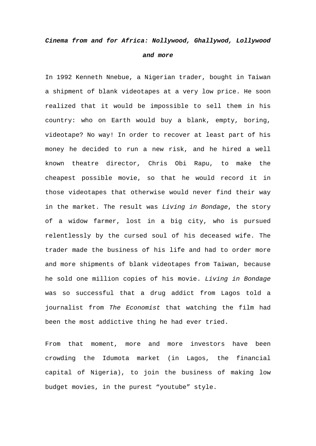## *Cinema from and for Africa: Nollywood, Ghallywod, Lollywood and more*

In 1992 Kenneth Nnebue, a Nigerian trader, bought in Taiwan a shipment of blank videotapes at a very low price. He soon realized that it would be impossible to sell them in his country: who on Earth would buy a blank, empty, boring, videotape? No way! In order to recover at least part of his money he decided to run a new risk, and he hired a well known theatre director, Chris Obi Rapu, to make the cheapest possible movie, so that he would record it in those videotapes that otherwise would never find their way in the market. The result was *Living in Bondage*, the story of a widow farmer, lost in a big city, who is pursued relentlessly by the cursed soul of his deceased wife. The trader made the business of his life and had to order more and more shipments of blank videotapes from Taiwan, because he sold one million copies of his movie. *Living in Bondage* was so successful that a drug addict from Lagos told a journalist from *The Economist* that watching the film had been the most addictive thing he had ever tried.

From that moment, more and more investors have been crowding the Idumota market (in Lagos, the financial capital of Nigeria), to join the business of making low budget movies, in the purest "youtube" style.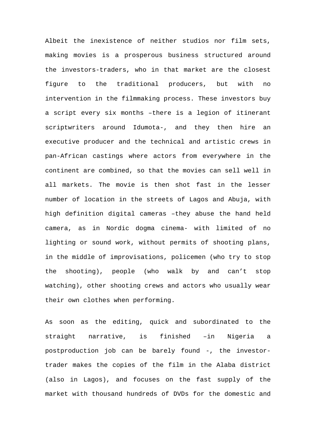Albeit the inexistence of neither studios nor film sets, making movies is a prosperous business structured around the investors-traders, who in that market are the closest figure to the traditional producers, but with no intervention in the filmmaking process. These investors buy a script every six months –there is a legion of itinerant scriptwriters around Idumota-, and they then hire an executive producer and the technical and artistic crews in pan-African castings where actors from everywhere in the continent are combined, so that the movies can sell well in all markets. The movie is then shot fast in the lesser number of location in the streets of Lagos and Abuja, with high definition digital cameras –they abuse the hand held camera, as in Nordic dogma cinema- with limited of no lighting or sound work, without permits of shooting plans, in the middle of improvisations, policemen (who try to stop the shooting), people (who walk by and can't stop watching), other shooting crews and actors who usually wear their own clothes when performing.

As soon as the editing, quick and subordinated to the straight narrative, is finished –in Nigeria a postproduction job can be barely found -, the investortrader makes the copies of the film in the Alaba district (also in Lagos), and focuses on the fast supply of the market with thousand hundreds of DVDs for the domestic and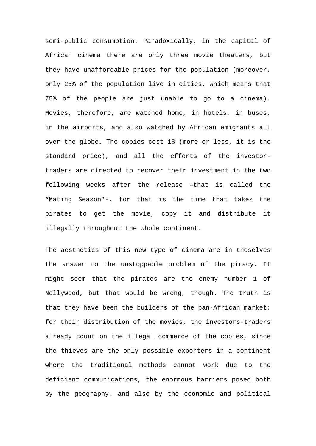semi-public consumption. Paradoxically, in the capital of African cinema there are only three movie theaters, but they have unaffordable prices for the population (moreover, only 25% of the population live in cities, which means that 75% of the people are just unable to go to a cinema). Movies, therefore, are watched home, in hotels, in buses, in the airports, and also watched by African emigrants all over the globe… The copies cost 1\$ (more or less, it is the standard price), and all the efforts of the investortraders are directed to recover their investment in the two following weeks after the release –that is called the "Mating Season"-, for that is the time that takes the pirates to get the movie, copy it and distribute it illegally throughout the whole continent.

The aesthetics of this new type of cinema are in theselves the answer to the unstoppable problem of the piracy. It might seem that the pirates are the enemy number 1 of Nollywood, but that would be wrong, though. The truth is that they have been the builders of the pan-African market: for their distribution of the movies, the investors-traders already count on the illegal commerce of the copies, since the thieves are the only possible exporters in a continent where the traditional methods cannot work due to the deficient communications, the enormous barriers posed both by the geography, and also by the economic and political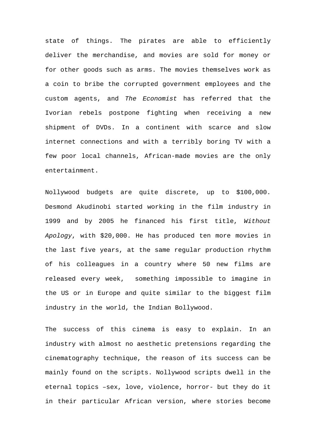state of things. The pirates are able to efficiently deliver the merchandise, and movies are sold for money or for other goods such as arms. The movies themselves work as a coin to bribe the corrupted government employees and the custom agents, and *The Economist* has referred that the Ivorian rebels postpone fighting when receiving a new shipment of DVDs. In a continent with scarce and slow internet connections and with a terribly boring TV with a few poor local channels, African-made movies are the only entertainment.

Nollywood budgets are quite discrete, up to \$100,000. Desmond Akudinobi started working in the film industry in 1999 and by 2005 he financed his first title, *Without Apology*, with \$20,000. He has produced ten more movies in the last five years, at the same regular production rhythm of his colleagues in a country where 50 new films are released every week, something impossible to imagine in the US or in Europe and quite similar to the biggest film industry in the world, the Indian Bollywood.

The success of this cinema is easy to explain. In an industry with almost no aesthetic pretensions regarding the cinematography technique, the reason of its success can be mainly found on the scripts. Nollywood scripts dwell in the eternal topics –sex, love, violence, horror- but they do it in their particular African version, where stories become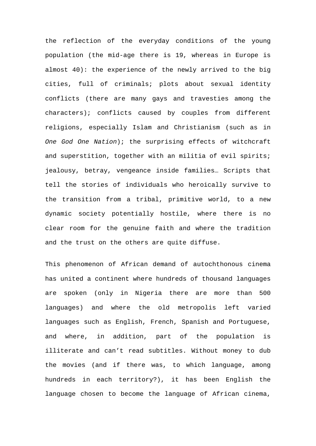the reflection of the everyday conditions of the young population (the mid-age there is 19, whereas in Europe is almost 40): the experience of the newly arrived to the big cities, full of criminals; plots about sexual identity conflicts (there are many gays and travesties among the characters); conflicts caused by couples from different religions, especially Islam and Christianism (such as in *One God One Nation*); the surprising effects of witchcraft and superstition, together with an militia of evil spirits; jealousy, betray, vengeance inside families… Scripts that tell the stories of individuals who heroically survive to the transition from a tribal, primitive world, to a new dynamic society potentially hostile, where there is no clear room for the genuine faith and where the tradition and the trust on the others are quite diffuse.

This phenomenon of African demand of autochthonous cinema has united a continent where hundreds of thousand languages are spoken (only in Nigeria there are more than 500 languages) and where the old metropolis left varied languages such as English, French, Spanish and Portuguese, and where, in addition, part of the population is illiterate and can't read subtitles. Without money to dub the movies (and if there was, to which language, among hundreds in each territory?), it has been English the language chosen to become the language of African cinema,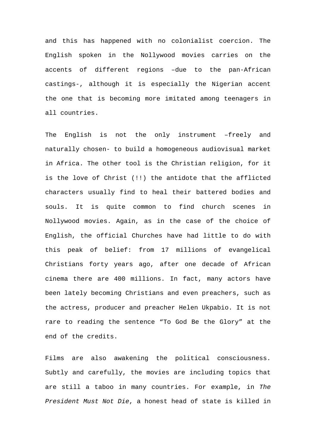and this has happened with no colonialist coercion. The English spoken in the Nollywood movies carries on the accents of different regions –due to the pan-African castings-, although it is especially the Nigerian accent the one that is becoming more imitated among teenagers in all countries.

The English is not the only instrument –freely and naturally chosen- to build a homogeneous audiovisual market in Africa. The other tool is the Christian religion, for it is the love of Christ (!!) the antidote that the afflicted characters usually find to heal their battered bodies and souls. It is quite common to find church scenes in Nollywood movies. Again, as in the case of the choice of English, the official Churches have had little to do with this peak of belief: from 17 millions of evangelical Christians forty years ago, after one decade of African cinema there are 400 millions. In fact, many actors have been lately becoming Christians and even preachers, such as the actress, producer and preacher Helen Ukpabio. It is not rare to reading the sentence "To God Be the Glory" at the end of the credits.

Films are also awakening the political consciousness. Subtly and carefully, the movies are including topics that are still a taboo in many countries. For example, in *The President Must Not Die*, a honest head of state is killed in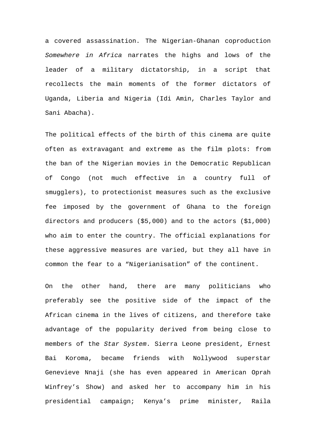a covered assassination. The Nigerian-Ghanan coproduction *Somewhere in Africa* narrates the highs and lows of the leader of a military dictatorship, in a script that recollects the main moments of the former dictators of Uganda, Liberia and Nigeria (Idi Amin, Charles Taylor and Sani Abacha).

The political effects of the birth of this cinema are quite often as extravagant and extreme as the film plots: from the ban of the Nigerian movies in the Democratic Republican of Congo (not much effective in a country full of smugglers), to protectionist measures such as the exclusive fee imposed by the government of Ghana to the foreign directors and producers (\$5,000) and to the actors (\$1,000) who aim to enter the country. The official explanations for these aggressive measures are varied, but they all have in common the fear to a "Nigerianisation" of the continent.

On the other hand, there are many politicians who preferably see the positive side of the impact of the African cinema in the lives of citizens, and therefore take advantage of the popularity derived from being close to members of the *Star System*. Sierra Leone president, Ernest Bai Koroma, became friends with Nollywood superstar Genevieve Nnaji (she has even appeared in American Oprah Winfrey's Show) and asked her to accompany him in his presidential campaign; Kenya's prime minister, Raila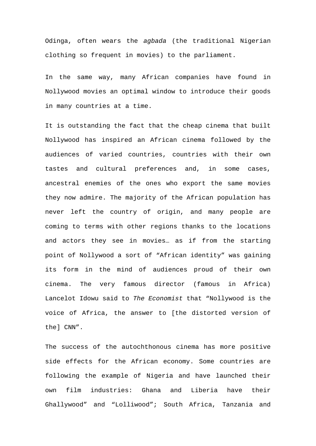Odinga, often wears the *agbada* (the traditional Nigerian clothing so frequent in movies) to the parliament.

In the same way, many African companies have found in Nollywood movies an optimal window to introduce their goods in many countries at a time.

It is outstanding the fact that the cheap cinema that built Nollywood has inspired an African cinema followed by the audiences of varied countries, countries with their own tastes and cultural preferences and, in some cases, ancestral enemies of the ones who export the same movies they now admire. The majority of the African population has never left the country of origin, and many people are coming to terms with other regions thanks to the locations and actors they see in movies… as if from the starting point of Nollywood a sort of "African identity" was gaining its form in the mind of audiences proud of their own cinema. The very famous director (famous in Africa) Lancelot Idowu said to *The Economist* that "Nollywood is the voice of Africa, the answer to [the distorted version of the] CNN".

The success of the autochthonous cinema has more positive side effects for the African economy. Some countries are following the example of Nigeria and have launched their own film industries: Ghana and Liberia have their Ghallywood" and "Lolliwood"; South Africa, Tanzania and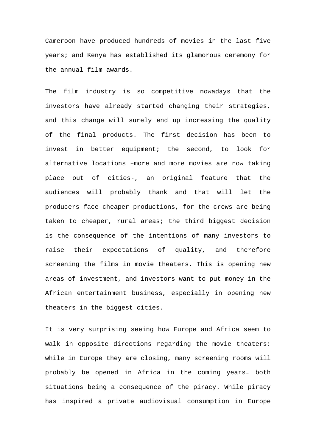Cameroon have produced hundreds of movies in the last five years; and Kenya has established its glamorous ceremony for the annual film awards.

The film industry is so competitive nowadays that the investors have already started changing their strategies, and this change will surely end up increasing the quality of the final products. The first decision has been to invest in better equipment; the second, to look for alternative locations –more and more movies are now taking place out of cities-, an original feature that the audiences will probably thank and that will let the producers face cheaper productions, for the crews are being taken to cheaper, rural areas; the third biggest decision is the consequence of the intentions of many investors to raise their expectations of quality, and therefore screening the films in movie theaters. This is opening new areas of investment, and investors want to put money in the African entertainment business, especially in opening new theaters in the biggest cities.

It is very surprising seeing how Europe and Africa seem to walk in opposite directions regarding the movie theaters: while in Europe they are closing, many screening rooms will probably be opened in Africa in the coming years… both situations being a consequence of the piracy. While piracy has inspired a private audiovisual consumption in Europe